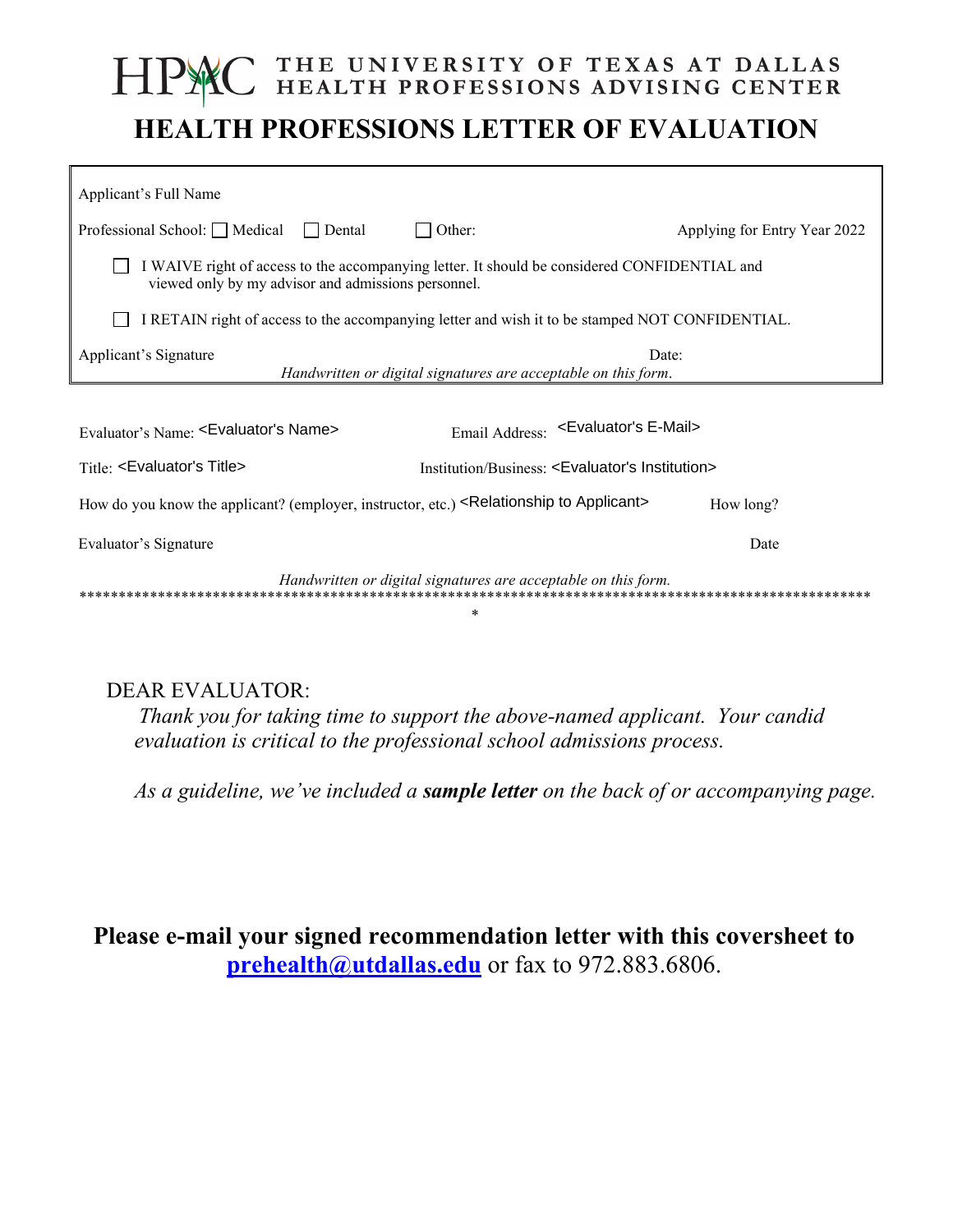## THE UNIVERSITY OF TEXAS AT DALLAS<br>HEALTH PROFESSIONS ADVISING CENTER **HEALTH PROFESSIONS LETTER OF EVALUATION**

| Applicant's Full Name                                                                                                                               |                              |
|-----------------------------------------------------------------------------------------------------------------------------------------------------|------------------------------|
| Professional School: Medical<br>Other:<br>  Dental                                                                                                  | Applying for Entry Year 2022 |
| I WAIVE right of access to the accompanying letter. It should be considered CONFIDENTIAL and<br>viewed only by my advisor and admissions personnel. |                              |
| I RETAIN right of access to the accompanying letter and wish it to be stamped NOT CONFIDENTIAL.                                                     |                              |
| Applicant's Signature<br>Date:<br>Handwritten or digital signatures are acceptable on this form.                                                    |                              |
|                                                                                                                                                     |                              |
| Email Address: << Evaluator's E-Mail><br>Evaluator's Name: <evaluator's name=""></evaluator's>                                                      |                              |
| Title: <evaluator's title=""><br/>Institution/Business: <evaluator's institution=""></evaluator's></evaluator's>                                    |                              |
| How do you know the applicant? (employer, instructor, etc.) <relationship applicant="" to=""></relationship>                                        | How long?                    |
| Evaluator's Signature                                                                                                                               | Date                         |
| Handwritten or digital signatures are acceptable on this form.                                                                                      |                              |

## **DEAR EVALUATOR:**

Thank you for taking time to support the above-named applicant. Your candid evaluation is critical to the professional school admissions process.

As a guideline, we've included a sample letter on the back of or accompanying page.

Please e-mail your signed recommendation letter with this coversheet to prehealth@utdallas.edu or fax to 972.883.6806.